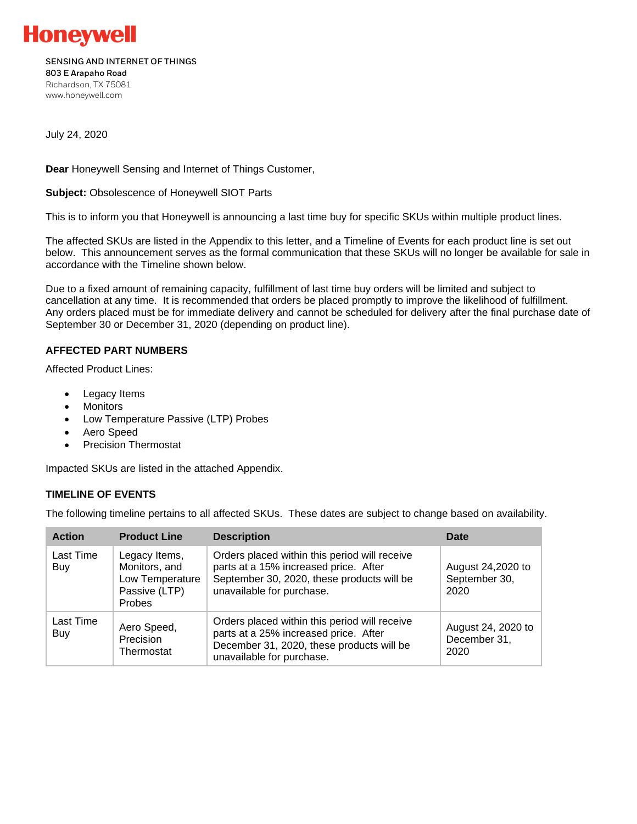

#### **SENSING AND INTERNET OF THINGS 803 E Arapaho Road**

Richardson, TX 75081 www.honeywell.com

July 24, 2020

**Dear** Honeywell Sensing and Internet of Things Customer,

**Subject:** Obsolescence of Honeywell SIOT Parts

This is to inform you that Honeywell is announcing a last time buy for specific SKUs within multiple product lines.

The affected SKUs are listed in the Appendix to this letter, and a Timeline of Events for each product line is set out below. This announcement serves as the formal communication that these SKUs will no longer be available for sale in accordance with the Timeline shown below.

Due to a fixed amount of remaining capacity, fulfillment of last time buy orders will be limited and subject to cancellation at any time. It is recommended that orders be placed promptly to improve the likelihood of fulfillment. Any orders placed must be for immediate delivery and cannot be scheduled for delivery after the final purchase date of September 30 or December 31, 2020 (depending on product line).

### **AFFECTED PART NUMBERS**

Affected Product Lines:

- Legacy Items
- Monitors
- Low Temperature Passive (LTP) Probes
- Aero Speed
- Precision Thermostat

Impacted SKUs are listed in the attached Appendix.

### **TIMELINE OF EVENTS**

The following timeline pertains to all affected SKUs. These dates are subject to change based on availability.

| <b>Action</b>    | <b>Product Line</b>                                                                 | <b>Description</b>                                                                                                                                                | Date                                       |
|------------------|-------------------------------------------------------------------------------------|-------------------------------------------------------------------------------------------------------------------------------------------------------------------|--------------------------------------------|
| Last Time<br>Buy | Legacy Items,<br>Monitors, and<br>Low Temperature<br>Passive (LTP)<br><b>Probes</b> | Orders placed within this period will receive<br>parts at a 15% increased price. After<br>September 30, 2020, these products will be<br>unavailable for purchase. | August 24,2020 to<br>September 30,<br>2020 |
| Last Time<br>Buy | Aero Speed,<br>Precision<br>Thermostat                                              | Orders placed within this period will receive<br>parts at a 25% increased price. After<br>December 31, 2020, these products will be<br>unavailable for purchase.  | August 24, 2020 to<br>December 31,<br>2020 |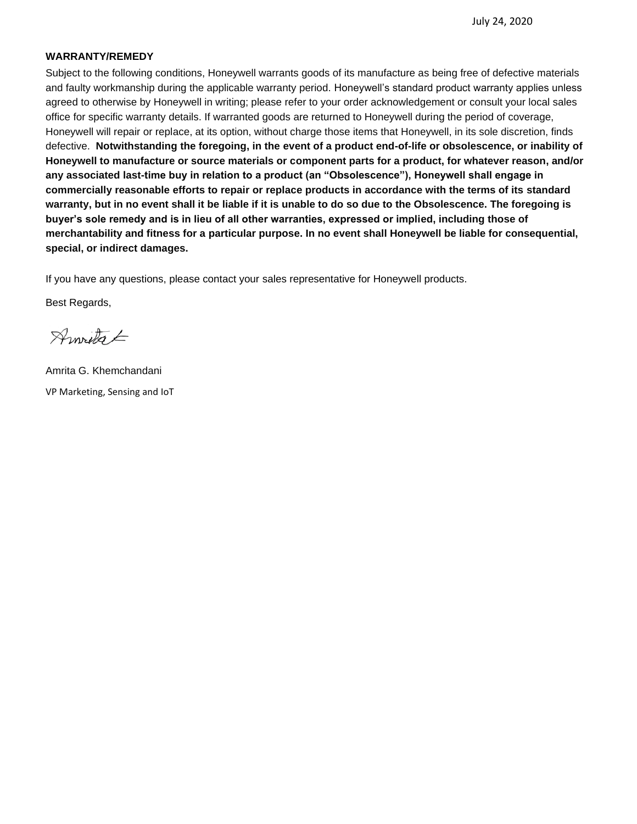#### **WARRANTY/REMEDY**

Subject to the following conditions, Honeywell warrants goods of its manufacture as being free of defective materials and faulty workmanship during the applicable warranty period. Honeywell's standard product warranty applies unless agreed to otherwise by Honeywell in writing; please refer to your order acknowledgement or consult your local sales office for specific warranty details. If warranted goods are returned to Honeywell during the period of coverage, Honeywell will repair or replace, at its option, without charge those items that Honeywell, in its sole discretion, finds defective. **Notwithstanding the foregoing, in the event of a product end-of-life or obsolescence, or inability of Honeywell to manufacture or source materials or component parts for a product, for whatever reason, and/or any associated last-time buy in relation to a product (an "Obsolescence"), Honeywell shall engage in commercially reasonable efforts to repair or replace products in accordance with the terms of its standard warranty, but in no event shall it be liable if it is unable to do so due to the Obsolescence. The foregoing is buyer's sole remedy and is in lieu of all other warranties, expressed or implied, including those of merchantability and fitness for a particular purpose. In no event shall Honeywell be liable for consequential, special, or indirect damages.** 

If you have any questions, please contact your sales representative for Honeywell products.

Best Regards,

Arnotes E

Amrita G. Khemchandani VP Marketing, Sensing and IoT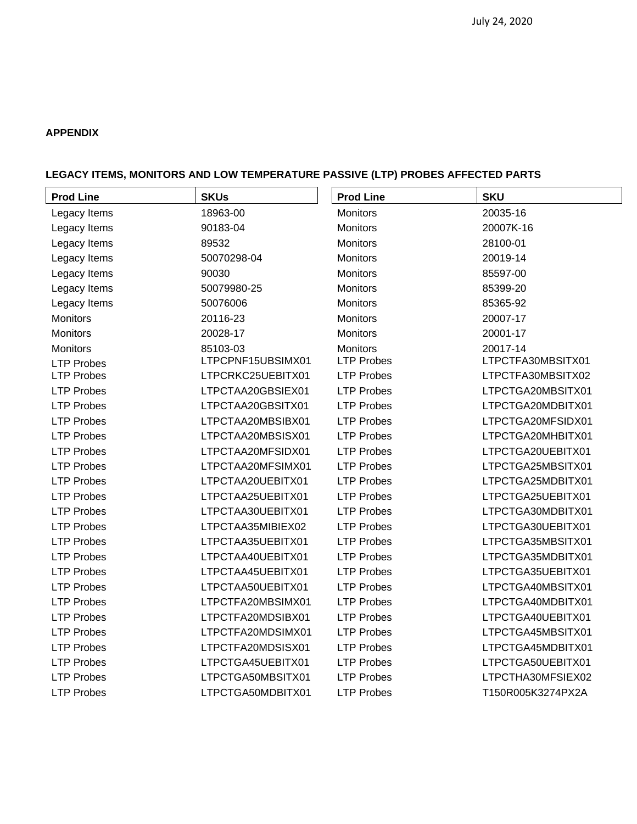## **APPENDIX**

# **LEGACY ITEMS, MONITORS AND LOW TEMPERATURE PASSIVE (LTP) PROBES AFFECTED PARTS**

| <b>Prod Line</b>  | <b>SKUs</b>       | <b>Prod Line</b>  | <b>SKU</b>        |
|-------------------|-------------------|-------------------|-------------------|
| Legacy Items      | 18963-00          | <b>Monitors</b>   | 20035-16          |
| Legacy Items      | 90183-04          | <b>Monitors</b>   | 20007K-16         |
| Legacy Items      | 89532             | <b>Monitors</b>   | 28100-01          |
| Legacy Items      | 50070298-04       | Monitors          | 20019-14          |
| Legacy Items      | 90030             | Monitors          | 85597-00          |
| Legacy Items      | 50079980-25       | <b>Monitors</b>   | 85399-20          |
| Legacy Items      | 50076006          | <b>Monitors</b>   | 85365-92          |
| <b>Monitors</b>   | 20116-23          | <b>Monitors</b>   | 20007-17          |
| <b>Monitors</b>   | 20028-17          | <b>Monitors</b>   | 20001-17          |
| Monitors          | 85103-03          | <b>Monitors</b>   | 20017-14          |
| <b>LTP Probes</b> | LTPCPNF15UBSIMX01 | <b>LTP Probes</b> | LTPCTFA30MBSITX01 |
| <b>LTP Probes</b> | LTPCRKC25UEBITX01 | <b>LTP Probes</b> | LTPCTFA30MBSITX02 |
| <b>LTP Probes</b> | LTPCTAA20GBSIEX01 | <b>LTP Probes</b> | LTPCTGA20MBSITX01 |
| <b>LTP Probes</b> | LTPCTAA20GBSITX01 | <b>LTP Probes</b> | LTPCTGA20MDBITX01 |
| <b>LTP Probes</b> | LTPCTAA20MBSIBX01 | <b>LTP Probes</b> | LTPCTGA20MFSIDX01 |
| <b>LTP Probes</b> | LTPCTAA20MBSISX01 | <b>LTP Probes</b> | LTPCTGA20MHBITX01 |
| <b>LTP Probes</b> | LTPCTAA20MFSIDX01 | <b>LTP Probes</b> | LTPCTGA20UEBITX01 |
| <b>LTP Probes</b> | LTPCTAA20MFSIMX01 | <b>LTP Probes</b> | LTPCTGA25MBSITX01 |
| <b>LTP Probes</b> | LTPCTAA20UEBITX01 | <b>LTP Probes</b> | LTPCTGA25MDBITX01 |
| <b>LTP Probes</b> | LTPCTAA25UEBITX01 | <b>LTP Probes</b> | LTPCTGA25UEBITX01 |
| <b>LTP Probes</b> | LTPCTAA30UEBITX01 | <b>LTP Probes</b> | LTPCTGA30MDBITX01 |
| <b>LTP Probes</b> | LTPCTAA35MIBIEX02 | <b>LTP Probes</b> | LTPCTGA30UEBITX01 |
| <b>LTP Probes</b> | LTPCTAA35UEBITX01 | <b>LTP Probes</b> | LTPCTGA35MBSITX01 |
| <b>LTP Probes</b> | LTPCTAA40UEBITX01 | <b>LTP Probes</b> | LTPCTGA35MDBITX01 |
| <b>LTP Probes</b> | LTPCTAA45UEBITX01 | <b>LTP Probes</b> | LTPCTGA35UEBITX01 |
| <b>LTP Probes</b> | LTPCTAA50UEBITX01 | <b>LTP Probes</b> | LTPCTGA40MBSITX01 |
| <b>LTP Probes</b> | LTPCTFA20MBSIMX01 | <b>LTP Probes</b> | LTPCTGA40MDBITX01 |
| <b>LTP Probes</b> | LTPCTFA20MDSIBX01 | <b>LTP Probes</b> | LTPCTGA40UEBITX01 |
| <b>LTP Probes</b> | LTPCTFA20MDSIMX01 | <b>LTP Probes</b> | LTPCTGA45MBSITX01 |
| <b>LTP Probes</b> | LTPCTFA20MDSISX01 | <b>LTP Probes</b> | LTPCTGA45MDBITX01 |
| <b>LTP Probes</b> | LTPCTGA45UEBITX01 | <b>LTP Probes</b> | LTPCTGA50UEBITX01 |
| <b>LTP Probes</b> | LTPCTGA50MBSITX01 | <b>LTP Probes</b> | LTPCTHA30MFSIEX02 |
| <b>LTP Probes</b> | LTPCTGA50MDBITX01 | <b>LTP Probes</b> | T150R005K3274PX2A |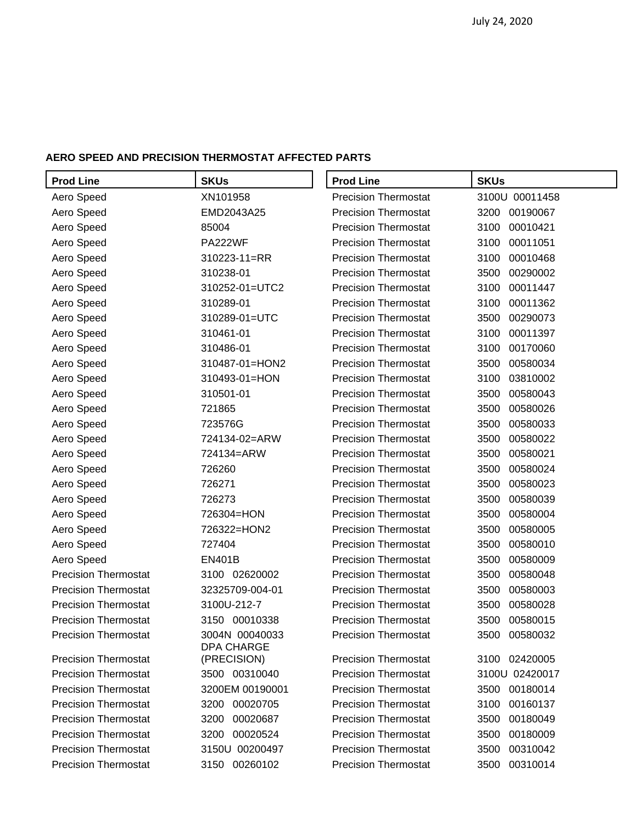### **AERO SPEED AND PRECISION THERMOSTAT AFFECTED PARTS**

| <b>Prod Line</b>            | <b>SKUs</b>                         | <b>Prod Line</b>            | <b>SKUs</b>      |
|-----------------------------|-------------------------------------|-----------------------------|------------------|
| Aero Speed                  | XN101958                            | <b>Precision Thermostat</b> | 3100U 00011458   |
| Aero Speed                  | EMD2043A25                          | <b>Precision Thermostat</b> | 3200<br>00190067 |
| Aero Speed                  | 85004                               | <b>Precision Thermostat</b> | 00010421<br>3100 |
| Aero Speed                  | <b>PA222WF</b>                      | <b>Precision Thermostat</b> | 3100<br>00011051 |
| Aero Speed                  | 310223-11=RR                        | <b>Precision Thermostat</b> | 3100<br>00010468 |
| Aero Speed                  | 310238-01                           | <b>Precision Thermostat</b> | 3500<br>00290002 |
| Aero Speed                  | 310252-01=UTC2                      | <b>Precision Thermostat</b> | 3100<br>00011447 |
| Aero Speed                  | 310289-01                           | <b>Precision Thermostat</b> | 3100<br>00011362 |
| Aero Speed                  | 310289-01=UTC                       | <b>Precision Thermostat</b> | 3500<br>00290073 |
| Aero Speed                  | 310461-01                           | <b>Precision Thermostat</b> | 3100<br>00011397 |
| Aero Speed                  | 310486-01                           | <b>Precision Thermostat</b> | 3100<br>00170060 |
| Aero Speed                  | 310487-01=HON2                      | <b>Precision Thermostat</b> | 00580034<br>3500 |
| Aero Speed                  | 310493-01=HON                       | <b>Precision Thermostat</b> | 3100<br>03810002 |
| Aero Speed                  | 310501-01                           | <b>Precision Thermostat</b> | 3500<br>00580043 |
| Aero Speed                  | 721865                              | <b>Precision Thermostat</b> | 00580026<br>3500 |
| Aero Speed                  | 723576G                             | <b>Precision Thermostat</b> | 3500<br>00580033 |
| Aero Speed                  | 724134-02=ARW                       | <b>Precision Thermostat</b> | 00580022<br>3500 |
| Aero Speed                  | 724134=ARW                          | <b>Precision Thermostat</b> | 3500<br>00580021 |
| Aero Speed                  | 726260                              | <b>Precision Thermostat</b> | 3500<br>00580024 |
| Aero Speed                  | 726271                              | <b>Precision Thermostat</b> | 00580023<br>3500 |
| Aero Speed                  | 726273                              | <b>Precision Thermostat</b> | 3500<br>00580039 |
| Aero Speed                  | 726304=HON                          | <b>Precision Thermostat</b> | 00580004<br>3500 |
| Aero Speed                  | 726322=HON2                         | <b>Precision Thermostat</b> | 3500<br>00580005 |
| Aero Speed                  | 727404                              | <b>Precision Thermostat</b> | 00580010<br>3500 |
| Aero Speed                  | <b>EN401B</b>                       | <b>Precision Thermostat</b> | 3500<br>00580009 |
| <b>Precision Thermostat</b> | 3100 02620002                       | <b>Precision Thermostat</b> | 3500<br>00580048 |
| <b>Precision Thermostat</b> | 32325709-004-01                     | <b>Precision Thermostat</b> | 3500<br>00580003 |
| <b>Precision Thermostat</b> | 3100U-212-7                         | <b>Precision Thermostat</b> | 3500<br>00580028 |
| <b>Precision Thermostat</b> | 3150 00010338                       | <b>Precision Thermostat</b> | 3500<br>00580015 |
| <b>Precision Thermostat</b> | 3004N 00040033<br><b>DPA CHARGE</b> | <b>Precision Thermostat</b> | 3500 00580032    |
| <b>Precision Thermostat</b> | (PRECISION)                         | <b>Precision Thermostat</b> | 02420005<br>3100 |
| <b>Precision Thermostat</b> | 3500 00310040                       | <b>Precision Thermostat</b> | 3100U 02420017   |
| <b>Precision Thermostat</b> | 3200EM 00190001                     | <b>Precision Thermostat</b> | 00180014<br>3500 |
| <b>Precision Thermostat</b> | 00020705<br>3200                    | <b>Precision Thermostat</b> | 3100<br>00160137 |
| <b>Precision Thermostat</b> | 00020687<br>3200                    | <b>Precision Thermostat</b> | 00180049<br>3500 |
| <b>Precision Thermostat</b> | 00020524<br>3200                    | <b>Precision Thermostat</b> | 3500<br>00180009 |
| <b>Precision Thermostat</b> | 3150U 00200497                      | <b>Precision Thermostat</b> | 3500<br>00310042 |
| <b>Precision Thermostat</b> | 00260102<br>3150                    | <b>Precision Thermostat</b> | 00310014<br>3500 |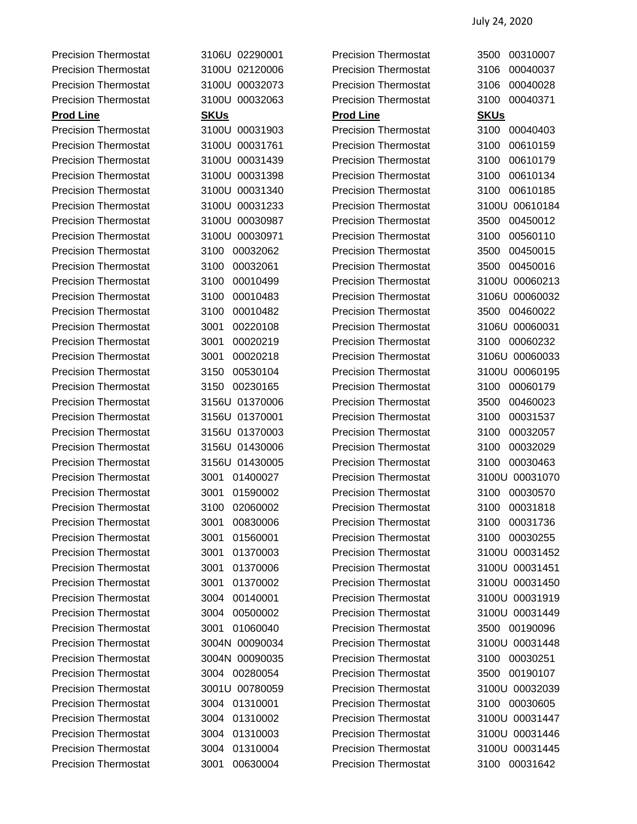Precision Thermostat 3106U 02290001 Precision Thermostat 3500 00310007 Precision Thermostat 3100U 02120006 Precision Thermostat 3106 00040037 Precision Thermostat 3100U 00032073 Precision Thermostat 3106 00040028 Precision Thermostat 3100U 00032063 Precision Thermostat 3100 00040371 **Prod Line SKUs Prod Line SKUs** Precision Thermostat 3100U 00031903 Precision Thermostat 3100 00040403 Precision Thermostat 3100U 00031761 Precision Thermostat 3100 00610159 Precision Thermostat 3100U 00031439 Precision Thermostat 3100 00610179 Precision Thermostat 3100U 00031398 Precision Thermostat 3100 00610134 Precision Thermostat 3100U 00031340 Precision Thermostat 3100 00610185 Precision Thermostat 3100U 00031233 Precision Thermostat 3100U 00610184 Precision Thermostat 3100U 00030987 Precision Thermostat 3500 00450012 Precision Thermostat 3100U 00030971 Precision Thermostat 3100 00560110 Precision Thermostat 3100 00032062 Precision Thermostat 3500 00450015 Precision Thermostat 3100 00032061 Precision Thermostat 3500 00450016 Precision Thermostat 3100 00010499 Precision Thermostat 3100U 00060213 Precision Thermostat 3100 00010483 Precision Thermostat 3106U 00060032 Precision Thermostat 3100 00010482 Precision Thermostat 3500 00460022 Precision Thermostat 3001 00220108 Precision Thermostat 3106U 00060031 Precision Thermostat 3001 00020219 Precision Thermostat 3100 00060232 Precision Thermostat 3001 00020218 Precision Thermostat 3106U 00060033 Precision Thermostat 3150 00530104 Precision Thermostat 3100U 00060195 Precision Thermostat 3150 00230165 Precision Thermostat 3100 00060179 Precision Thermostat 3156U 01370006 Precision Thermostat 3500 00460023 Precision Thermostat 3156U 01370001 Precision Thermostat 3100 00031537 Precision Thermostat 3156U 01370003 Precision Thermostat 3100 00032057 Precision Thermostat 3156U 01430006 Precision Thermostat 3100 00032029 Precision Thermostat 3156U 01430005 Precision Thermostat 3100 00030463 Precision Thermostat 3001 01400027 Precision Thermostat 3100U 00031070 Precision Thermostat 3001 01590002 Precision Thermostat 3100 00030570 Precision Thermostat 3100 02060002 Precision Thermostat 3100 00031818 Precision Thermostat 3001 00830006 Precision Thermostat 3100 00031736 Precision Thermostat 3001 01560001 Precision Thermostat 3100 00030255 Precision Thermostat 3001 01370003 Precision Thermostat 3100U 00031452 Precision Thermostat 3001 01370006 Precision Thermostat 3100U 00031451 Precision Thermostat 3001 01370002 Precision Thermostat 3100U 00031450 Precision Thermostat 3004 00140001 Precision Thermostat 3100U 00031919 Precision Thermostat 3004 00500002 Precision Thermostat 3100U 00031449 Precision Thermostat 3001 01060040 Precision Thermostat 3500 00190096 Precision Thermostat 3004N 00090034 Precision Thermostat 3100U 00031448 Precision Thermostat 3004N 00090035 Precision Thermostat 3100 00030251 Precision Thermostat 3004 00280054 Precision Thermostat 3500 00190107 Precision Thermostat 3001U 00780059 Precision Thermostat 3100U 00032039 Precision Thermostat 3004 01310001 Precision Thermostat 3100 00030605 Precision Thermostat 3004 01310002 Precision Thermostat 3100U 00031447 Precision Thermostat 3004 01310003 Precision Thermostat 3100U 00031446 Precision Thermostat 3004 01310004 Precision Thermostat 3100U 00031445 Precision Thermostat 3001 00630004 Precision Thermostat 3100 00031642

|      | 3106U 02290001 |
|------|----------------|
|      | 3100U 02120006 |
|      | 3100U 00032073 |
|      | 3100U 00032063 |
| SKUs |                |
|      | 3100U 00031903 |
|      | 3100U 00031761 |
|      | 3100U 00031439 |
|      | 3100U 00031398 |
|      | 3100U 00031340 |
|      | 3100U 00031233 |
|      | 3100U 00030987 |
|      | 3100U 00030971 |
|      | 3100 00032062  |
|      | 3100 00032061  |
|      | 3100 00010499  |
|      | 3100 00010483  |
|      | 3100 00010482  |
|      | 3001 00220108  |
|      | 3001 00020219  |
|      | 3001 00020218  |
|      | 3150 00530104  |
|      | 3150 00230165  |
|      | 3156U 01370006 |
|      | 3156U 01370001 |
|      | 3156U 01370003 |
|      | 3156U 01430006 |
|      | 3156U 01430005 |
|      | 3001 01400027  |
|      | 3001 01590002  |
|      | 3100 02060002  |
| 3001 | 00830006       |
| 3001 | 01560001       |
|      | 3001 01370003  |
|      | 3001 01370006  |
| 3001 | 01370002       |
|      | 3004 00140001  |
|      | 3004 00500002  |
|      | 3001 01060040  |
|      | 3004N 00090034 |
|      | 3004N 00090035 |
|      | 3004 00280054  |
|      | 3001U 00780059 |
|      | 3004 01310001  |
|      | 3004 01310002  |
|      | 3004 01310003  |
|      | 3004 01310004  |
| 2004 | 0000           |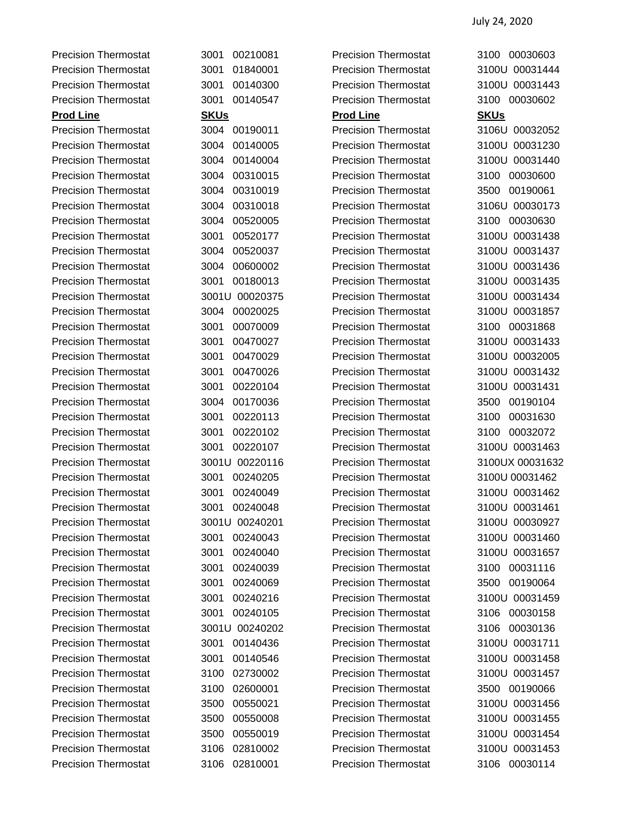Precision Thermostat 3004 00190011 Precision Thermostat 3106U 00032052 Precision Thermostat 3004 00140005 Precision Thermostat 3100U 00031230 Precision Thermostat 3004 00140004 Precision Thermostat 3100U 00031440 Precision Thermostat 3004 00310015 Precision Thermostat 3100 00030600 Precision Thermostat 3004 00310019 Precision Thermostat 3500 00190061 Precision Thermostat 3004 00310018 Precision Thermostat 3106U 00030173 Precision Thermostat 3004 00520005 Precision Thermostat 3100 00030630 Precision Thermostat 3001 00520177 Precision Thermostat 3100U 00031438 Precision Thermostat 3004 00520037 Precision Thermostat 3100U 00031437 Precision Thermostat 3004 00600002 Precision Thermostat 3100U 00031436 Precision Thermostat 3001 00180013 Precision Thermostat 3100U 00031435 Precision Thermostat 3001U 00020375 Precision Thermostat 3100U 00031434 Precision Thermostat 3004 00020025 Precision Thermostat 3100U 00031857 Precision Thermostat 3001 00070009 Precision Thermostat 3100 00031868 Precision Thermostat 3001 00470027 Precision Thermostat 3100U 00031433 Precision Thermostat 3001 00470029 Precision Thermostat 3100U 00032005 Precision Thermostat 3001 00470026 Precision Thermostat 3100U 00031432 Precision Thermostat 3001 00220104 Precision Thermostat 3100U 00031431 Precision Thermostat 3004 00170036 Precision Thermostat 3500 00190104 Precision Thermostat 3001 00220113 Precision Thermostat 3100 00031630 Precision Thermostat 3001 00220102 Precision Thermostat 3100 00032072 Precision Thermostat 3001 00220107 Precision Thermostat 3100U 00031463 Precision Thermostat 3001U 00220116 Precision Thermostat 3100UX 00031632 Precision Thermostat 3001 00240205 Precision Thermostat 3100U 00031462 Precision Thermostat 3001 00240049 Precision Thermostat 3100U 00031462 Precision Thermostat 3001 00240048 Precision Thermostat 3100U 00031461 Precision Thermostat 3001U 00240201 Precision Thermostat 3100U 00030927 Precision Thermostat 3001 00240043 Precision Thermostat 3100U 00031460 Precision Thermostat 3001 00240040 Precision Thermostat 3100U 00031657 Precision Thermostat 3001 00240039 Precision Thermostat 3100 00031116 Precision Thermostat 3001 00240069 Precision Thermostat 3500 00190064 Precision Thermostat 3001 00240216 Precision Thermostat 3100U 00031459 Precision Thermostat 3001 00240105 Precision Thermostat 3106 00030158 Precision Thermostat 3001U 00240202 Precision Thermostat 3106 00030136 Precision Thermostat 3001 00140436 Precision Thermostat 3100U 00031711 Precision Thermostat 3001 00140546 Precision Thermostat 3100U 00031458 Precision Thermostat 3100 02730002 Precision Thermostat 3100U 00031457 Precision Thermostat 3100 02600001 Precision Thermostat 3500 00190066 Precision Thermostat 3500 00550021 Precision Thermostat 3100U 00031456 Precision Thermostat 3500 00550008 Precision Thermostat 3100U 00031455 Precision Thermostat 3500 00550019 Precision Thermostat 3100U 00031454 Precision Thermostat 3106 02810002 Precision Thermostat 3100U 00031453

Precision Thermostat 3001 00210081 Precision Thermostat 3100 00030603 Precision Thermostat 3001 01840001 Precision Thermostat 3100U 00031444 Precision Thermostat 3001 00140300 Precision Thermostat 3100U 00031443 Precision Thermostat 3001 00140547 Precision Thermostat 3100 00030602 **Prod Line SKUs Prod Line SKUs** Precision Thermostat 3106 02810001 Precision Thermostat 3106 00030114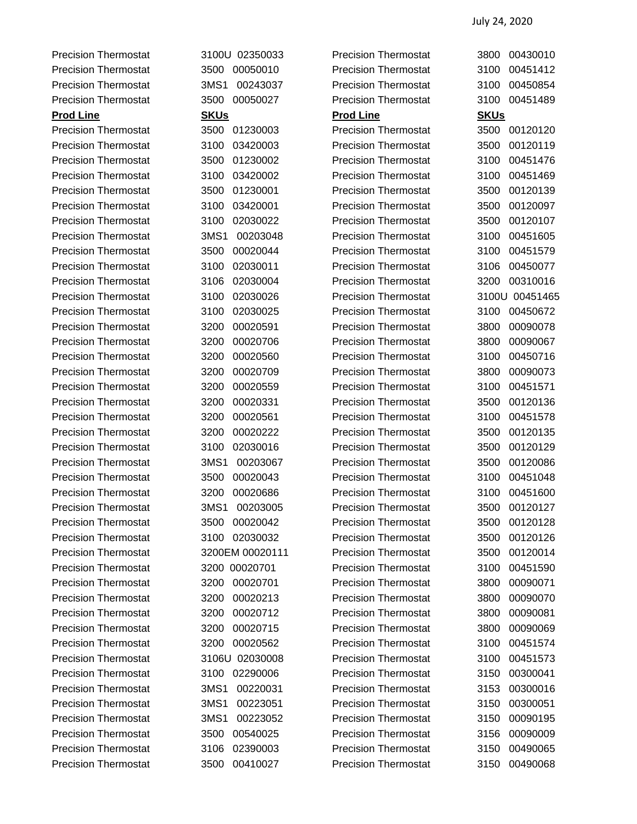Precision Thermostat 3100U 02350033 Precision Thermostat 3800 00430010

Precision Thermostat 3500 00050010 Precision Thermostat 3100 00451412 Precision Thermostat 3MS1 00243037 Precision Thermostat 3100 00450854 Precision Thermostat 3500 00050027 Precision Thermostat 3100 00451489 **Prod Line SKUs Prod Line SKUs** Precision Thermostat 3500 01230003 Precision Thermostat 3500 00120120 Precision Thermostat 3100 03420003 Precision Thermostat 3500 00120119 Precision Thermostat 3500 01230002 Precision Thermostat 3100 00451476 Precision Thermostat 3100 03420002 Precision Thermostat 3100 00451469 Precision Thermostat 3500 01230001 Precision Thermostat 3500 00120139 Precision Thermostat 3100 03420001 Precision Thermostat 3500 00120097 Precision Thermostat 3100 02030022 Precision Thermostat 3500 00120107 Precision Thermostat 3MS1 00203048 Precision Thermostat 3100 00451605 Precision Thermostat 3500 00020044 Precision Thermostat 3100 00451579 Precision Thermostat 3100 02030011 Precision Thermostat 3106 00450077 Precision Thermostat 3106 02030004 Precision Thermostat 3200 00310016 Precision Thermostat 3100 02030026 Precision Thermostat 3100U 00451465 Precision Thermostat 3100 02030025 Precision Thermostat 3100 00450672 Precision Thermostat 3200 00020591 Precision Thermostat 3800 00090078 Precision Thermostat 3200 00020706 Precision Thermostat 3800 00090067 Precision Thermostat 3200 00020560 Precision Thermostat 3100 00450716 Precision Thermostat 3200 00020709 Precision Thermostat 3800 00090073 Precision Thermostat 3200 00020559 Precision Thermostat 3100 00451571 Precision Thermostat 3200 00020331 Precision Thermostat 3500 00120136 Precision Thermostat 3200 00020561 Precision Thermostat 3100 00451578 Precision Thermostat 3200 00020222 Precision Thermostat 3500 00120135 Precision Thermostat 3100 02030016 Precision Thermostat 3500 00120129 Precision Thermostat 3MS1 00203067 Precision Thermostat 3500 00120086 Precision Thermostat 3500 00020043 Precision Thermostat 3100 00451048 Precision Thermostat 3200 00020686 Precision Thermostat 3100 00451600 Precision Thermostat 3MS1 00203005 Precision Thermostat 3500 00120127 Precision Thermostat 3500 00020042 Precision Thermostat 3500 00120128 Precision Thermostat 3100 02030032 Precision Thermostat 3500 00120126 Precision Thermostat 3200EM 00020111 Precision Thermostat 3500 00120014 Precision Thermostat 3200 00020701 Precision Thermostat 3100 00451590 Precision Thermostat 3200 00020701 Precision Thermostat 3800 00090071 Precision Thermostat 3200 00020213 Precision Thermostat 3800 00090070 Precision Thermostat 3200 00020712 Precision Thermostat 3800 00090081 Precision Thermostat 3200 00020715 Precision Thermostat 3800 00090069 Precision Thermostat 3200 00020562 Precision Thermostat 3100 00451574 Precision Thermostat 3106U 02030008 Precision Thermostat 3100 00451573 Precision Thermostat 3100 02290006 Precision Thermostat 3150 00300041 Precision Thermostat 3MS1 00220031 Precision Thermostat 3153 00300016 Precision Thermostat 3MS1 00223051 Precision Thermostat 3150 00300051 Precision Thermostat 3MS1 00223052 Precision Thermostat 3150 00090195 Precision Thermostat 3500 00540025 Precision Thermostat 3156 00090009 Precision Thermostat 3106 02390003 Precision Thermostat 3150 00490065 Precision Thermostat 3500 00410027 Precision Thermostat 3150 00490068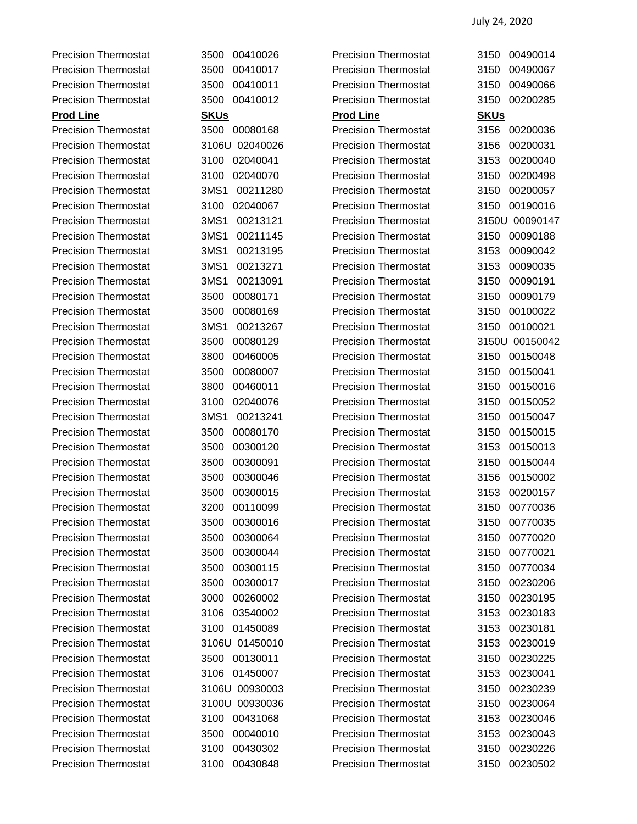Precision Thermostat 3500 00410026 Precision Thermostat 3150 00490014 Precision Thermostat 3500 00410017 Precision Thermostat 3150 00490067 Precision Thermostat 3500 00410011 Precision Thermostat 3150 00490066 Precision Thermostat 3500 00410012 Precision Thermostat 3150 00200285 **Prod Line SKUs Prod Line SKUs** Precision Thermostat 3500 00080168 Precision Thermostat 3156 00200036 Precision Thermostat 3106U 02040026 Precision Thermostat 3156 00200031 Precision Thermostat 3100 02040041 Precision Thermostat 3153 00200040 Precision Thermostat 3100 02040070 Precision Thermostat 3150 00200498 Precision Thermostat 3MS1 00211280 Precision Thermostat 3150 00200057 Precision Thermostat 3100 02040067 Precision Thermostat 3150 00190016 Precision Thermostat 3MS1 00213121 Precision Thermostat 3150U 00090147 Precision Thermostat 3MS1 00211145 Precision Thermostat 3150 00090188 Precision Thermostat 3MS1 00213195 Precision Thermostat 3153 00090042 Precision Thermostat 3MS1 00213271 Precision Thermostat 3153 00090035 Precision Thermostat 3MS1 00213091 Precision Thermostat 3150 00090191 Precision Thermostat 3500 00080171 Precision Thermostat 3150 00090179 Precision Thermostat 3500 00080169 Precision Thermostat 3150 00100022 Precision Thermostat 3MS1 00213267 Precision Thermostat 3150 00100021 Precision Thermostat 3500 00080129 Precision Thermostat 3150U 00150042 Precision Thermostat 3800 00460005 Precision Thermostat 3150 00150048 Precision Thermostat 3500 00080007 Precision Thermostat 3150 00150041 Precision Thermostat 3800 00460011 Precision Thermostat 3150 00150016 Precision Thermostat 3100 02040076 Precision Thermostat 3150 00150052 Precision Thermostat 3MS1 00213241 Precision Thermostat 3150 00150047 Precision Thermostat 3500 00080170 Precision Thermostat 3150 00150015 Precision Thermostat 3500 00300120 Precision Thermostat 3153 00150013 Precision Thermostat 3500 00300091 Precision Thermostat 3150 00150044 Precision Thermostat 3500 00300046 Precision Thermostat 3156 00150002 Precision Thermostat 3500 00300015 Precision Thermostat 3153 00200157 Precision Thermostat 3200 00110099 Precision Thermostat 3150 00770036 Precision Thermostat 3500 00300016 Precision Thermostat 3150 00770035 Precision Thermostat 3500 00300064 Precision Thermostat 3150 00770020 Precision Thermostat 3500 00300044 Precision Thermostat 3150 00770021 Precision Thermostat 3500 00300115 Precision Thermostat 3150 00770034 Precision Thermostat 3500 00300017 Precision Thermostat 3150 00230206 Precision Thermostat 3000 00260002 Precision Thermostat 3150 00230195 Precision Thermostat 3106 03540002 Precision Thermostat 3153 00230183 Precision Thermostat 3100 01450089 Precision Thermostat 3153 00230181 Precision Thermostat 3106U 01450010 Precision Thermostat 3153 00230019 Precision Thermostat 3500 00130011 Precision Thermostat 3150 00230225 Precision Thermostat 3106 01450007 Precision Thermostat 3153 00230041 Precision Thermostat 3106U 00930003 Precision Thermostat 3150 00230239 Precision Thermostat 3100U 00930036 Precision Thermostat 3150 00230064 Precision Thermostat 3100 00431068 Precision Thermostat 3153 00230046 Precision Thermostat 3500 00040010 Precision Thermostat 3153 00230043 Precision Thermostat 3100 00430302 Precision Thermostat 3150 00230226 Precision Thermostat 3100 00430848 Precision Thermostat 3150 00230502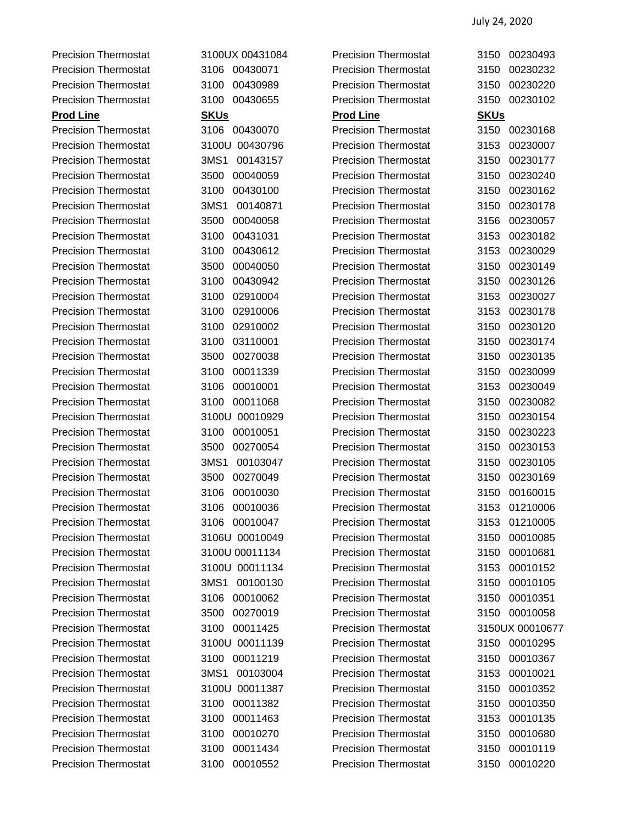Precision Thermostat 3100UX 00431084 Precision Thermostat 3150 00230493

Precision Thermostat 3106 00430071 Precision Thermostat 3150 00230232 Precision Thermostat 3100 00430989 Precision Thermostat 3150 00230220 Precision Thermostat 3100 00430655 Precision Thermostat 3150 00230102 **Prod Line SKUs Prod Line SKUs** Precision Thermostat 3106 00430070 Precision Thermostat 3150 00230168 Precision Thermostat 3100U 00430796 Precision Thermostat 3153 00230007 Precision Thermostat 3MS1 00143157 Precision Thermostat 3150 00230177 Precision Thermostat 3500 00040059 Precision Thermostat 3150 00230240 Precision Thermostat 3100 00430100 Precision Thermostat 3150 00230162 Precision Thermostat 3MS1 00140871 Precision Thermostat 3150 00230178 Precision Thermostat 3500 00040058 Precision Thermostat 3156 00230057 Precision Thermostat 3100 00431031 Precision Thermostat 3153 00230182 Precision Thermostat 3100 00430612 Precision Thermostat 3153 00230029 Precision Thermostat 3500 00040050 Precision Thermostat 3150 00230149 Precision Thermostat 3100 00430942 Precision Thermostat 3150 00230126 Precision Thermostat 3100 02910004 Precision Thermostat 3153 00230027 Precision Thermostat 3100 02910006 Precision Thermostat 3153 00230178 Precision Thermostat 3100 02910002 Precision Thermostat 3150 00230120 Precision Thermostat 3100 03110001 Precision Thermostat 3150 00230174 Precision Thermostat 3500 00270038 Precision Thermostat 3150 00230135 Precision Thermostat 3100 00011339 Precision Thermostat 3150 00230099 Precision Thermostat 3106 00010001 Precision Thermostat 3153 00230049 Precision Thermostat 3100 00011068 Precision Thermostat 3150 00230082 Precision Thermostat 3100U 00010929 Precision Thermostat 3150 00230154 Precision Thermostat 3100 00010051 Precision Thermostat 3150 00230223 Precision Thermostat 3500 00270054 Precision Thermostat 3150 00230153 Precision Thermostat 3MS1 00103047 Precision Thermostat 3150 00230105 Precision Thermostat 3500 00270049 Precision Thermostat 3150 00230169 Precision Thermostat 3106 00010030 Precision Thermostat 3150 00160015 Precision Thermostat 3106 00010036 Precision Thermostat 3153 01210006 Precision Thermostat 3106 00010047 Precision Thermostat 3153 01210005 Precision Thermostat 3106U 00010049 Precision Thermostat 3150 00010085 Precision Thermostat 3100U 00011134 Precision Thermostat 3150 00010681 Precision Thermostat 3100U 00011134 Precision Thermostat 3153 00010152 Precision Thermostat 3MS1 00100130 Precision Thermostat 3150 00010105 Precision Thermostat 3106 00010062 Precision Thermostat 3150 00010351 Precision Thermostat 3500 00270019 Precision Thermostat 3150 00010058 Precision Thermostat 3100 00011425 Precision Thermostat 3150UX 00010677 Precision Thermostat 3100U 00011139 Precision Thermostat 3150 00010295 Precision Thermostat 3100 00011219 Precision Thermostat 3150 00010367 Precision Thermostat 3MS1 00103004 Precision Thermostat 3153 00010021 Precision Thermostat 3100U 00011387 Precision Thermostat 3150 00010352 Precision Thermostat 3100 00011382 Precision Thermostat 3150 00010350 Precision Thermostat 3100 00011463 Precision Thermostat 3153 00010135 Precision Thermostat 3100 00010270 Precision Thermostat 3150 00010680 Precision Thermostat 3100 00011434 Precision Thermostat 3150 00010119 Precision Thermostat 3100 00010552 Precision Thermostat 3150 00010220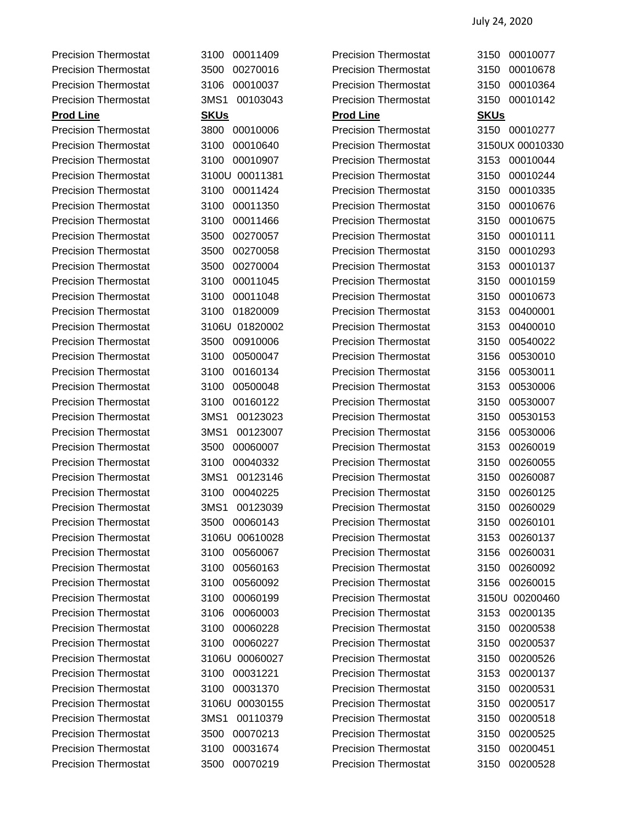Precision Thermostat 3100 00011409 Precision Thermostat 3150 00010077 Precision Thermostat 3500 00270016 Precision Thermostat 3150 00010678 Precision Thermostat 3106 00010037 Precision Thermostat 3150 00010364 Precision Thermostat 3MS1 00103043 Precision Thermostat 3150 00010142 **Prod Line SKUs Prod Line SKUs** Precision Thermostat 3800 00010006 Precision Thermostat 3150 00010277 Precision Thermostat 3100 00010640 Precision Thermostat 3150UX 00010330 Precision Thermostat 3100 00010907 Precision Thermostat 3153 00010044 Precision Thermostat 3100U 00011381 Precision Thermostat 3150 00010244 Precision Thermostat 3100 00011424 Precision Thermostat 3150 00010335 Precision Thermostat 3100 00011350 Precision Thermostat 3150 00010676 Precision Thermostat 3100 00011466 Precision Thermostat 3150 00010675 Precision Thermostat 3500 00270057 Precision Thermostat 3150 00010111 Precision Thermostat 3500 00270058 Precision Thermostat 3150 00010293 Precision Thermostat 3500 00270004 Precision Thermostat 3153 00010137 Precision Thermostat 3100 00011045 Precision Thermostat 3150 00010159 Precision Thermostat 3100 00011048 Precision Thermostat 3150 00010673 Precision Thermostat 3100 01820009 Precision Thermostat 3153 00400001 Precision Thermostat 3106U 01820002 Precision Thermostat 3153 00400010 Precision Thermostat 3500 00910006 Precision Thermostat 3150 00540022 Precision Thermostat 3100 00500047 Precision Thermostat 3156 00530010 Precision Thermostat 3100 00160134 Precision Thermostat 3156 00530011 Precision Thermostat 3100 00500048 Precision Thermostat 3153 00530006 Precision Thermostat 3100 00160122 Precision Thermostat 3150 00530007 Precision Thermostat 3MS1 00123023 Precision Thermostat 3150 00530153 Precision Thermostat 3MS1 00123007 Precision Thermostat 3156 00530006 Precision Thermostat 3500 00060007 Precision Thermostat 3153 00260019 Precision Thermostat 3100 00040332 Precision Thermostat 3150 00260055 Precision Thermostat 3MS1 00123146 Precision Thermostat 3150 00260087 Precision Thermostat 3100 00040225 Precision Thermostat 3150 00260125 Precision Thermostat 3MS1 00123039 Precision Thermostat 3150 00260029 Precision Thermostat 3500 00060143 Precision Thermostat 3150 00260101 Precision Thermostat 3106U 00610028 Precision Thermostat 3153 00260137 Precision Thermostat 3100 00560067 Precision Thermostat 3156 00260031 Precision Thermostat 3100 00560163 Precision Thermostat 3150 00260092 Precision Thermostat 3100 00560092 Precision Thermostat 3156 00260015 Precision Thermostat 3100 00060199 Precision Thermostat 3150U 00200460 Precision Thermostat 3106 00060003 Precision Thermostat 3153 00200135 Precision Thermostat 3100 00060228 Precision Thermostat 3150 00200538 Precision Thermostat 3100 00060227 Precision Thermostat 3150 00200537 Precision Thermostat 3106U 00060027 Precision Thermostat 3150 00200526 Precision Thermostat 3100 00031221 Precision Thermostat 3153 00200137 Precision Thermostat 3100 00031370 Precision Thermostat 3150 00200531 Precision Thermostat 3106U 00030155 Precision Thermostat 3150 00200517 Precision Thermostat 3MS1 00110379 Precision Thermostat 3150 00200518 Precision Thermostat 3500 00070213 Precision Thermostat 3150 00200525 Precision Thermostat 3100 00031674 Precision Thermostat 3150 00200451 Precision Thermostat 3500 00070219 Precision Thermostat 3150 00200528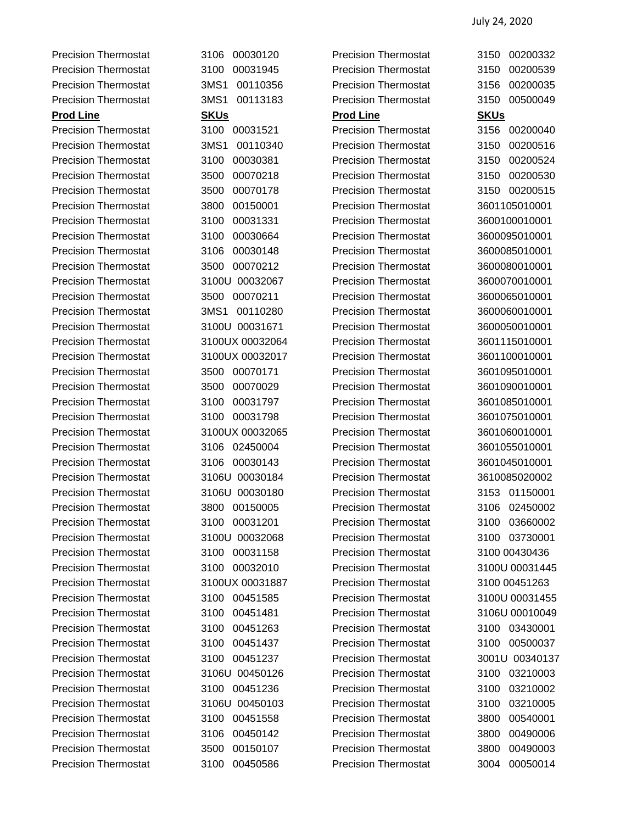Precision Thermostat 3106 00030120 Precision Thermostat 3150 00200332 Precision Thermostat 3100 00031945 Precision Thermostat 3150 00200539 Precision Thermostat 3MS1 00110356 Precision Thermostat 3156 00200035 Precision Thermostat 3MS1 00113183 Precision Thermostat 3150 00500049 **Prod Line SKUs Prod Line SKUs** Precision Thermostat 3100 00031521 Precision Thermostat 3156 00200040 Precision Thermostat 3MS1 00110340 Precision Thermostat 3150 00200516 Precision Thermostat 3100 00030381 Precision Thermostat 3150 00200524 Precision Thermostat 3500 00070218 Precision Thermostat 3150 00200530 Precision Thermostat 3500 00070178 Precision Thermostat 3150 00200515 Precision Thermostat 3800 00150001 Precision Thermostat 3601105010001 Precision Thermostat 3100 00031331 Precision Thermostat 3600100010001 Precision Thermostat 3100 00030664 Precision Thermostat 3600095010001 Precision Thermostat 3106 00030148 Precision Thermostat 3600085010001 Precision Thermostat 3500 00070212 Precision Thermostat 3600080010001 Precision Thermostat 3100U 00032067 Precision Thermostat 3600070010001 Precision Thermostat 3500 00070211 Precision Thermostat 3600065010001 Precision Thermostat 3MS1 00110280 Precision Thermostat 3600060010001 Precision Thermostat 3100U 00031671 Precision Thermostat 3600050010001 Precision Thermostat 3100UX 00032064 Precision Thermostat 3601115010001 Precision Thermostat 3100UX 00032017 Precision Thermostat 3601100010001 Precision Thermostat 3500 00070171 Precision Thermostat 3601095010001 Precision Thermostat 3500 00070029 Precision Thermostat 3601090010001 Precision Thermostat 3100 00031797 Precision Thermostat 3601085010001 Precision Thermostat 3100 00031798 Precision Thermostat 3601075010001 Precision Thermostat 3100UX 00032065 Precision Thermostat 3601060010001 Precision Thermostat 3106 02450004 Precision Thermostat 3601055010001 Precision Thermostat 3106 00030143 Precision Thermostat 3601045010001 Precision Thermostat 3106U 00030184 Precision Thermostat 3610085020002 Precision Thermostat 3106U 00030180 Precision Thermostat 3153 01150001 Precision Thermostat 3800 00150005 Precision Thermostat 3106 02450002 Precision Thermostat 3100 00031201 Precision Thermostat 3100 03660002 Precision Thermostat 3100U 00032068 Precision Thermostat 3100 03730001 Precision Thermostat 3100 00031158 Precision Thermostat 3100 00430436 Precision Thermostat 3100 00032010 Precision Thermostat 3100U 00031445 Precision Thermostat 3100UX 00031887 Precision Thermostat 3100 00451263 Precision Thermostat 3100 00451585 Precision Thermostat 3100U 00031455 Precision Thermostat 3100 00451481 Precision Thermostat 3106U 00010049 Precision Thermostat 3100 00451263 Precision Thermostat 3100 03430001 Precision Thermostat 3100 00451437 Precision Thermostat 3100 00500037 Precision Thermostat 3100 00451237 Precision Thermostat 3001U 00340137 Precision Thermostat 3106U 00450126 Precision Thermostat 3100 03210003 Precision Thermostat 3100 00451236 Precision Thermostat 3100 03210002 Precision Thermostat 3106U 00450103 Precision Thermostat 3100 03210005 Precision Thermostat 3100 00451558 Precision Thermostat 3800 00540001 Precision Thermostat 3106 00450142 Precision Thermostat 3800 00490006 Precision Thermostat 3500 00150107 Precision Thermostat 3800 00490003 Precision Thermostat 3100 00450586 Precision Thermostat 3004 00050014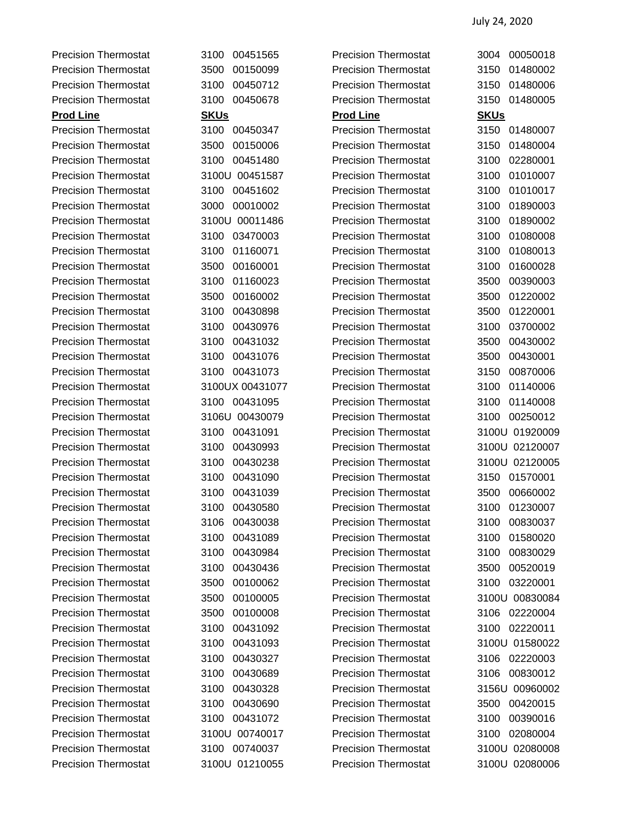Precision Thermostat 3100 00451565 Precision Thermostat 3004 00050018

Precision Thermostat 3500 00150099 Precision Thermostat 3150 01480002 Precision Thermostat 3100 00450712 Precision Thermostat 3150 01480006 Precision Thermostat 3100 00450678 Precision Thermostat 3150 01480005 **Prod Line SKUs Prod Line SKUs** Precision Thermostat 3100 00450347 Precision Thermostat 3150 01480007 Precision Thermostat 3500 00150006 Precision Thermostat 3150 01480004 Precision Thermostat 3100 00451480 Precision Thermostat 3100 02280001 Precision Thermostat 3100U 00451587 Precision Thermostat 3100 01010007 Precision Thermostat 3100 00451602 Precision Thermostat 3100 01010017 Precision Thermostat 3000 00010002 Precision Thermostat 3100 01890003 Precision Thermostat 3100U 00011486 Precision Thermostat 3100 01890002 Precision Thermostat 3100 03470003 Precision Thermostat 3100 01080008 Precision Thermostat 3100 01160071 Precision Thermostat 3100 01080013 Precision Thermostat 3500 00160001 Precision Thermostat 3100 01600028 Precision Thermostat 3100 01160023 Precision Thermostat 3500 00390003 Precision Thermostat 3500 00160002 Precision Thermostat 3500 01220002 Precision Thermostat 3100 00430898 Precision Thermostat 3500 01220001 Precision Thermostat 3100 00430976 Precision Thermostat 3100 03700002 Precision Thermostat 3100 00431032 Precision Thermostat 3500 00430002 Precision Thermostat 3100 00431076 Precision Thermostat 3500 00430001 Precision Thermostat 3100 00431073 Precision Thermostat 3150 00870006 Precision Thermostat 3100UX 00431077 Precision Thermostat 3100 01140006 Precision Thermostat 3100 00431095 Precision Thermostat 3100 01140008 Precision Thermostat 3106U 00430079 Precision Thermostat 3100 00250012 Precision Thermostat 3100 00431091 Precision Thermostat 3100U 01920009 Precision Thermostat 3100 00430993 Precision Thermostat 3100U 02120007 Precision Thermostat 3100 00430238 Precision Thermostat 3100U 02120005 Precision Thermostat 3100 00431090 Precision Thermostat 3150 01570001 Precision Thermostat 3100 00431039 Precision Thermostat 3500 00660002 Precision Thermostat 3100 00430580 Precision Thermostat 3100 01230007 Precision Thermostat 3106 00430038 Precision Thermostat 3100 00830037 Precision Thermostat 3100 00431089 Precision Thermostat 3100 01580020 Precision Thermostat 3100 00430984 Precision Thermostat 3100 00830029 Precision Thermostat 3100 00430436 Precision Thermostat 3500 00520019 Precision Thermostat 3500 00100062 Precision Thermostat 3100 03220001 Precision Thermostat 3500 00100005 Precision Thermostat 3100U 00830084 Precision Thermostat 3500 00100008 Precision Thermostat 3106 02220004 Precision Thermostat 3100 00431092 Precision Thermostat 3100 02220011 Precision Thermostat 3100 00431093 Precision Thermostat 3100U 01580022 Precision Thermostat 3100 00430327 Precision Thermostat 3106 02220003 Precision Thermostat 3100 00430689 Precision Thermostat 3106 00830012 Precision Thermostat 3100 00430328 Precision Thermostat 3156U 00960002 Precision Thermostat 3100 00430690 Precision Thermostat 3500 00420015 Precision Thermostat 3100 00431072 Precision Thermostat 3100 00390016 Precision Thermostat 3100U 00740017 Precision Thermostat 3100 02080004 Precision Thermostat 3100 00740037 Precision Thermostat 3100U 02080008 Precision Thermostat 3100U 01210055 Precision Thermostat 3100U 02080006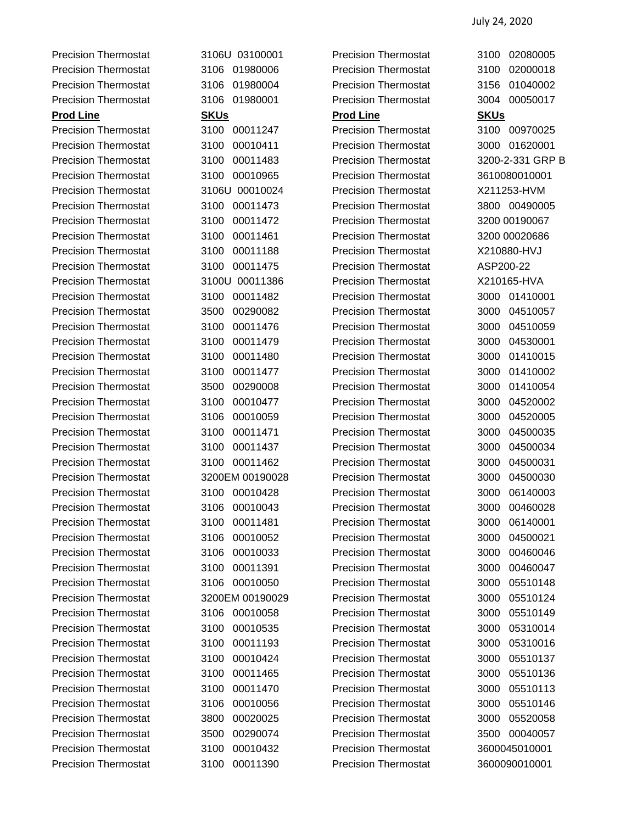Precision Thermostat 3100 00011247 Precision Thermostat 3100 00970025 Precision Thermostat 3100 00010411 Precision Thermostat 3000 01620001 Precision Thermostat 3100 00011483 Precision Thermostat 3200-2-331 GRP B Precision Thermostat 3100 00010965 Precision Thermostat 3610080010001 Precision Thermostat 3106U 00010024 Precision Thermostat X211253-HVM Precision Thermostat 3100 00011473 Precision Thermostat 3800 00490005 Precision Thermostat 3100 00011472 Precision Thermostat 3200 00190067 Precision Thermostat 3100 00011461 Precision Thermostat 3200 00020686 Precision Thermostat 3100 00011188 Precision Thermostat X210880-HVJ Precision Thermostat 3100 00011475 Precision Thermostat ASP200-22 Precision Thermostat 3100U 00011386 Precision Thermostat X210165-HVA Precision Thermostat 3100 00011482 Precision Thermostat 3000 01410001 Precision Thermostat 3500 00290082 Precision Thermostat 3000 04510057 Precision Thermostat 3100 00011476 Precision Thermostat 3000 04510059 Precision Thermostat 3100 00011479 Precision Thermostat 3000 04530001 Precision Thermostat 3100 00011480 Precision Thermostat 3000 01410015 Precision Thermostat 3100 00011477 Precision Thermostat 3000 01410002 Precision Thermostat 3500 00290008 Precision Thermostat 3000 01410054 Precision Thermostat 3100 00010477 Precision Thermostat 3000 04520002 Precision Thermostat 3106 00010059 Precision Thermostat 3000 04520005 Precision Thermostat 3100 00011471 Precision Thermostat 3000 04500035 Precision Thermostat 3100 00011437 Precision Thermostat 3000 04500034 Precision Thermostat 3100 00011462 Precision Thermostat 3000 04500031 Precision Thermostat 3200EM 00190028 Precision Thermostat 3000 04500030 Precision Thermostat 3100 00010428 Precision Thermostat 3000 06140003 Precision Thermostat 3106 00010043 Precision Thermostat 3000 00460028 Precision Thermostat 3100 00011481 Precision Thermostat 3000 06140001 Precision Thermostat 3106 00010052 Precision Thermostat 3000 04500021 Precision Thermostat 3106 00010033 Precision Thermostat 3000 00460046 Precision Thermostat 3100 00011391 Precision Thermostat 3000 00460047 Precision Thermostat 3106 00010050 Precision Thermostat 3000 05510148 Precision Thermostat 3200EM 00190029 Precision Thermostat 3000 05510124 Precision Thermostat 3106 00010058 Precision Thermostat 3000 05510149 Precision Thermostat 3100 00010535 Precision Thermostat 3000 05310014 Precision Thermostat 3100 00011193 Precision Thermostat 3000 05310016 Precision Thermostat 3100 00010424 Precision Thermostat 3000 05510137 Precision Thermostat 3100 00011465 Precision Thermostat 3000 05510136 Precision Thermostat 3100 00011470 Precision Thermostat 3000 05510113 Precision Thermostat 3106 00010056 Precision Thermostat 3000 05510146 Precision Thermostat 3800 00020025 Precision Thermostat 3000 05520058 Precision Thermostat 3500 00290074 Precision Thermostat 3500 00040057 Precision Thermostat 3100 00010432 Precision Thermostat 3600045010001

Precision Thermostat 3106U 03100001 Precision Thermostat 3100 02080005 Precision Thermostat 3106 01980006 Precision Thermostat 3100 02000018 Precision Thermostat 3106 01980004 Precision Thermostat 3156 01040002 Precision Thermostat 3106 01980001 Precision Thermostat 3004 00050017 **Prod Line SKUs Prod Line SKUs** Precision Thermostat 3100 00011390 Precision Thermostat 3600090010001